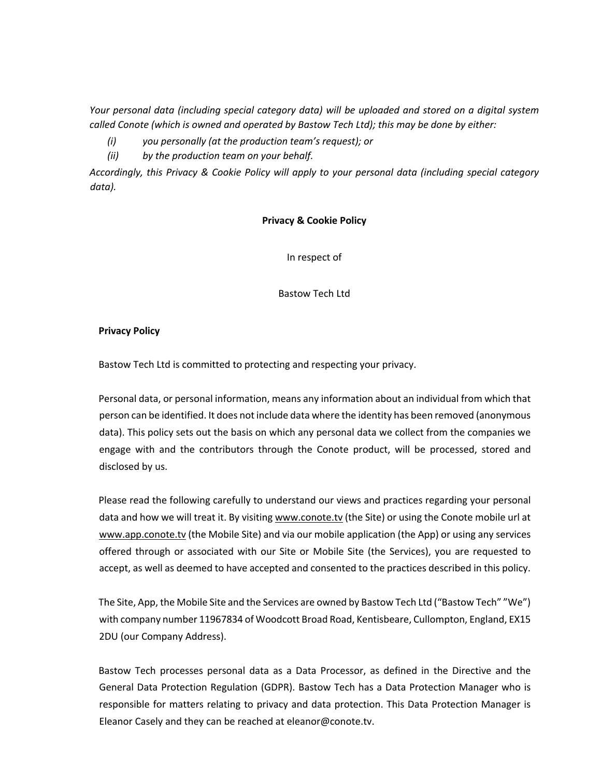*Your personal data (including special category data) will be uploaded and stored on a digital system called Conote (which is owned and operated by Bastow Tech Ltd); this may be done by either:* 

- *(i) you personally (at the production team's request); or*
- *(ii) by the production team on your behalf.*

*Accordingly, this Privacy & Cookie Policy will apply to your personal data (including special category data).*

#### **Privacy & Cookie Policy**

In respect of

Bastow Tech Ltd

### **Privacy Policy**

Bastow Tech Ltd is committed to protecting and respecting your privacy.

Personal data, or personal information, means any information about an individual from which that person can be identified. It does not include data where the identity has been removed (anonymous data). This policy sets out the basis on which any personal data we collect from the companies we engage with and the contributors through the Conote product, will be processed, stored and disclosed by us.

Please read the following carefully to understand our views and practices regarding your personal data and how we will treat it. By visiting www.conote.tv (the Site) or using the Conote mobile url at www.app.conote.tv (the Mobile Site) and via our mobile application (the App) or using any services offered through or associated with our Site or Mobile Site (the Services), you are requested to accept, as well as deemed to have accepted and consented to the practices described in this policy.

The Site, App, the Mobile Site and the Services are owned by Bastow Tech Ltd ("Bastow Tech" "We") with company number 11967834 of Woodcott Broad Road, Kentisbeare, Cullompton, England, EX15 2DU (our Company Address).

Bastow Tech processes personal data as a Data Processor, as defined in the Directive and the General Data Protection Regulation (GDPR). Bastow Tech has a Data Protection Manager who is responsible for matters relating to privacy and data protection. This Data Protection Manager is Eleanor Casely and they can be reached at eleanor@conote.tv.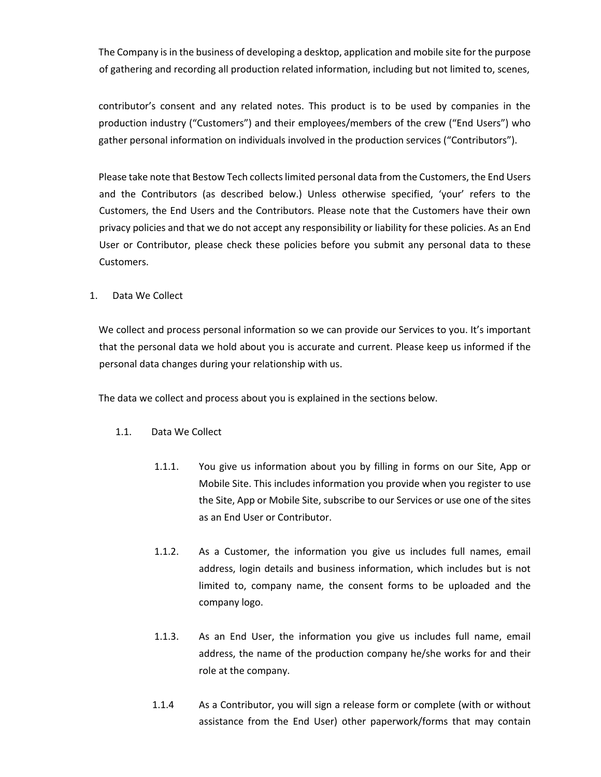The Company is in the business of developing a desktop, application and mobile site for the purpose of gathering and recording all production related information, including but not limited to, scenes,

contributor's consent and any related notes. This product is to be used by companies in the production industry ("Customers") and their employees/members of the crew ("End Users") who gather personal information on individuals involved in the production services ("Contributors").

Please take note that Bestow Tech collects limited personal data from the Customers, the End Users and the Contributors (as described below.) Unless otherwise specified, 'your' refers to the Customers, the End Users and the Contributors. Please note that the Customers have their own privacy policies and that we do not accept any responsibility or liability for these policies. As an End User or Contributor, please check these policies before you submit any personal data to these Customers.

1. Data We Collect

We collect and process personal information so we can provide our Services to you. It's important that the personal data we hold about you is accurate and current. Please keep us informed if the personal data changes during your relationship with us.

The data we collect and process about you is explained in the sections below.

## 1.1. Data We Collect

- 1.1.1. You give us information about you by filling in forms on our Site, App or Mobile Site. This includes information you provide when you register to use the Site, App or Mobile Site, subscribe to our Services or use one of the sites as an End User or Contributor.
- 1.1.2. As a Customer, the information you give us includes full names, email address, login details and business information, which includes but is not limited to, company name, the consent forms to be uploaded and the company logo.
- 1.1.3. As an End User, the information you give us includes full name, email address, the name of the production company he/she works for and their role at the company.
- 1.1.4 As a Contributor, you will sign a release form or complete (with or without assistance from the End User) other paperwork/forms that may contain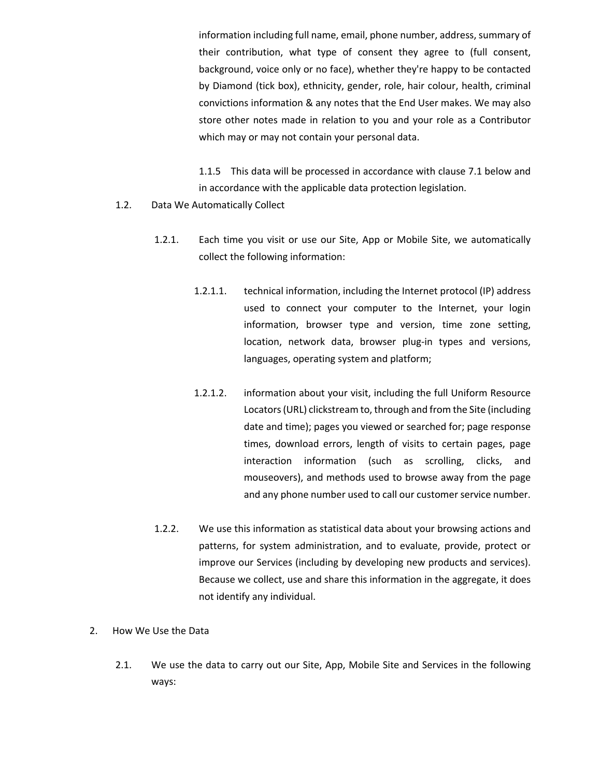information including full name, email, phone number, address, summary of their contribution, what type of consent they agree to (full consent, background, voice only or no face), whether they're happy to be contacted by Diamond (tick box), ethnicity, gender, role, hair colour, health, criminal convictions information & any notes that the End User makes. We may also store other notes made in relation to you and your role as a Contributor which may or may not contain your personal data.

1.1.5 This data will be processed in accordance with clause 7.1 below and in accordance with the applicable data protection legislation.

- 1.2. Data We Automatically Collect
	- 1.2.1. Each time you visit or use our Site, App or Mobile Site, we automatically collect the following information:
		- 1.2.1.1. technical information, including the Internet protocol (IP) address used to connect your computer to the Internet, your login information, browser type and version, time zone setting, location, network data, browser plug-in types and versions, languages, operating system and platform;
		- 1.2.1.2. information about your visit, including the full Uniform Resource Locators (URL) clickstream to, through and from the Site (including date and time); pages you viewed or searched for; page response times, download errors, length of visits to certain pages, page interaction information (such as scrolling, clicks, and mouseovers), and methods used to browse away from the page and any phone number used to call our customer service number.
	- 1.2.2. We use this information as statistical data about your browsing actions and patterns, for system administration, and to evaluate, provide, protect or improve our Services (including by developing new products and services). Because we collect, use and share this information in the aggregate, it does not identify any individual.
- 2. How We Use the Data
	- 2.1. We use the data to carry out our Site, App, Mobile Site and Services in the following ways: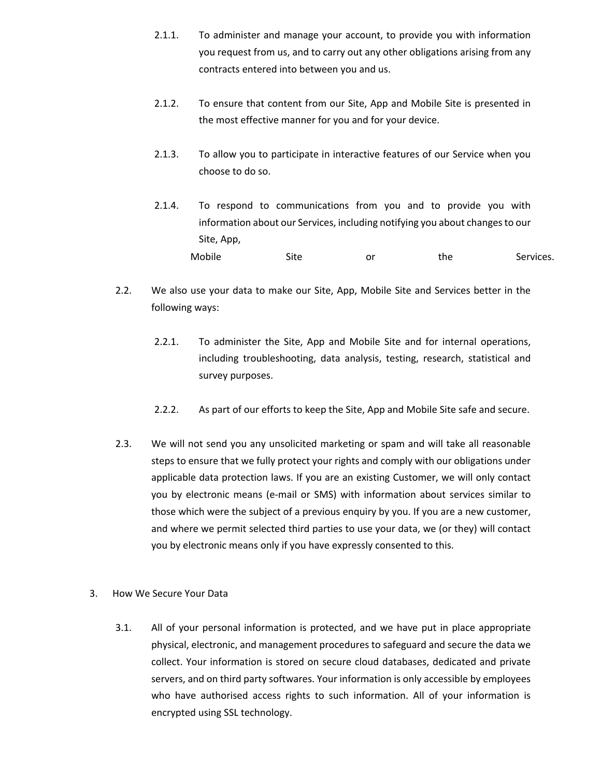- 2.1.1. To administer and manage your account, to provide you with information you request from us, and to carry out any other obligations arising from any contracts entered into between you and us.
- 2.1.2. To ensure that content from our Site, App and Mobile Site is presented in the most effective manner for you and for your device.
- 2.1.3. To allow you to participate in interactive features of our Service when you choose to do so.
- 2.1.4. To respond to communications from you and to provide you with information about our Services, including notifying you about changes to our Site, App, Mobile Site or the Services.
- 2.2. We also use your data to make our Site, App, Mobile Site and Services better in the following ways:
	- 2.2.1. To administer the Site, App and Mobile Site and for internal operations, including troubleshooting, data analysis, testing, research, statistical and survey purposes.
	- 2.2.2. As part of our efforts to keep the Site, App and Mobile Site safe and secure.
- 2.3. We will not send you any unsolicited marketing or spam and will take all reasonable steps to ensure that we fully protect your rights and comply with our obligations under applicable data protection laws. If you are an existing Customer, we will only contact you by electronic means (e-mail or SMS) with information about services similar to those which were the subject of a previous enquiry by you. If you are a new customer, and where we permit selected third parties to use your data, we (or they) will contact you by electronic means only if you have expressly consented to this.
- 3. How We Secure Your Data
	- 3.1. All of your personal information is protected, and we have put in place appropriate physical, electronic, and management procedures to safeguard and secure the data we collect. Your information is stored on secure cloud databases, dedicated and private servers, and on third party softwares. Your information is only accessible by employees who have authorised access rights to such information. All of your information is encrypted using SSL technology.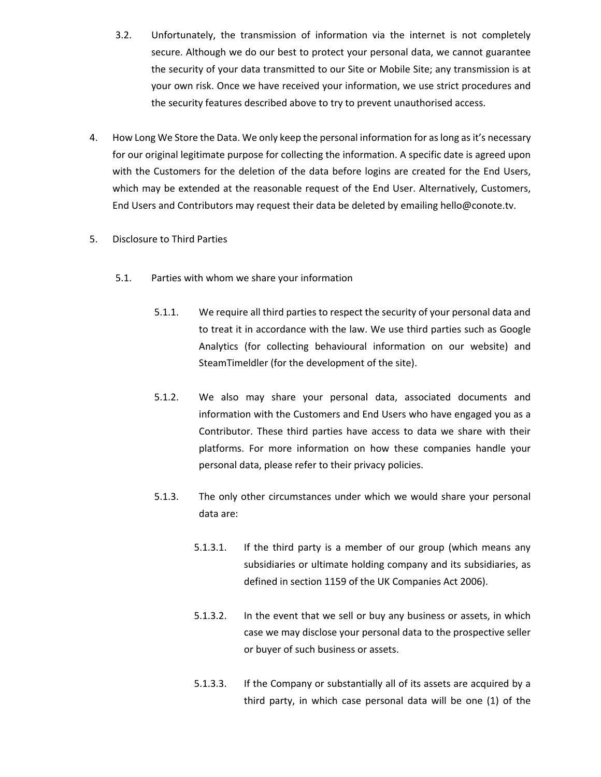- 3.2. Unfortunately, the transmission of information via the internet is not completely secure. Although we do our best to protect your personal data, we cannot guarantee the security of your data transmitted to our Site or Mobile Site; any transmission is at your own risk. Once we have received your information, we use strict procedures and the security features described above to try to prevent unauthorised access.
- 4. How Long We Store the Data. We only keep the personal information for as long as it's necessary for our original legitimate purpose for collecting the information. A specific date is agreed upon with the Customers for the deletion of the data before logins are created for the End Users, which may be extended at the reasonable request of the End User. Alternatively, Customers, End Users and Contributors may request their data be deleted by emailing hello@conote.tv.
- 5. Disclosure to Third Parties
	- 5.1. Parties with whom we share your information
		- 5.1.1. We require all third parties to respect the security of your personal data and to treat it in accordance with the law. We use third parties such as Google Analytics (for collecting behavioural information on our website) and SteamTimeldler (for the development of the site).
		- 5.1.2. We also may share your personal data, associated documents and information with the Customers and End Users who have engaged you as a Contributor. These third parties have access to data we share with their platforms. For more information on how these companies handle your personal data, please refer to their privacy policies.
		- 5.1.3. The only other circumstances under which we would share your personal data are:
			- 5.1.3.1. If the third party is a member of our group (which means any subsidiaries or ultimate holding company and its subsidiaries, as defined in section 1159 of the UK Companies Act 2006).
			- 5.1.3.2. In the event that we sell or buy any business or assets, in which case we may disclose your personal data to the prospective seller or buyer of such business or assets.
			- 5.1.3.3. If the Company or substantially all of its assets are acquired by a third party, in which case personal data will be one (1) of the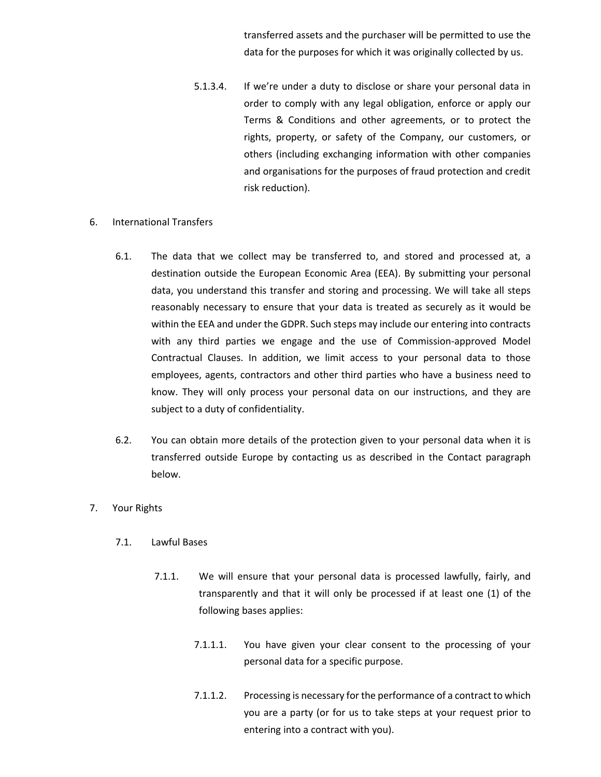transferred assets and the purchaser will be permitted to use the data for the purposes for which it was originally collected by us.

- 5.1.3.4. If we're under a duty to disclose or share your personal data in order to comply with any legal obligation, enforce or apply our Terms & Conditions and other agreements, or to protect the rights, property, or safety of the Company, our customers, or others (including exchanging information with other companies and organisations for the purposes of fraud protection and credit risk reduction).
- 6. International Transfers
	- 6.1. The data that we collect may be transferred to, and stored and processed at, a destination outside the European Economic Area (EEA). By submitting your personal data, you understand this transfer and storing and processing. We will take all steps reasonably necessary to ensure that your data is treated as securely as it would be within the EEA and under the GDPR. Such steps may include our entering into contracts with any third parties we engage and the use of Commission-approved Model Contractual Clauses. In addition, we limit access to your personal data to those employees, agents, contractors and other third parties who have a business need to know. They will only process your personal data on our instructions, and they are subject to a duty of confidentiality.
	- 6.2. You can obtain more details of the protection given to your personal data when it is transferred outside Europe by contacting us as described in the Contact paragraph below.
- 7. Your Rights
	- 7.1. Lawful Bases
		- 7.1.1. We will ensure that your personal data is processed lawfully, fairly, and transparently and that it will only be processed if at least one (1) of the following bases applies:
			- 7.1.1.1. You have given your clear consent to the processing of your personal data for a specific purpose.
			- 7.1.1.2. Processing is necessary for the performance of a contract to which you are a party (or for us to take steps at your request prior to entering into a contract with you).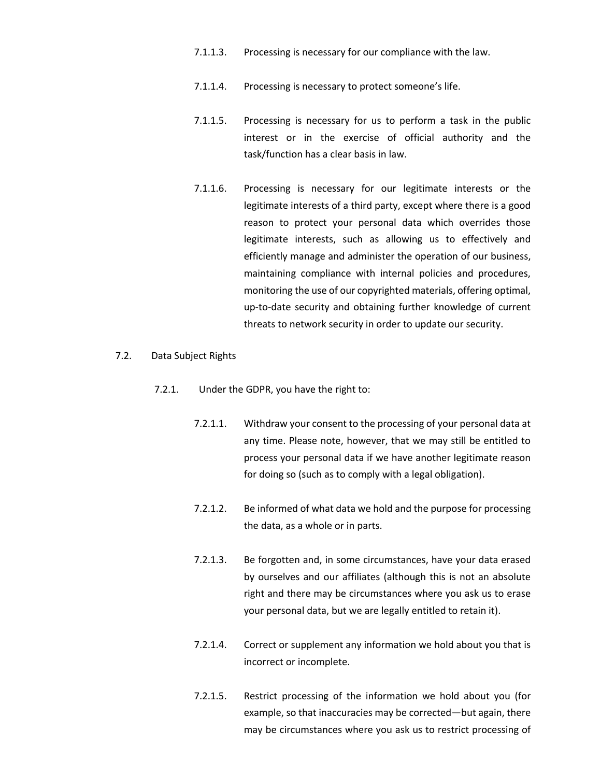- 7.1.1.3. Processing is necessary for our compliance with the law.
- 7.1.1.4. Processing is necessary to protect someone's life.
- 7.1.1.5. Processing is necessary for us to perform a task in the public interest or in the exercise of official authority and the task/function has a clear basis in law.
- 7.1.1.6. Processing is necessary for our legitimate interests or the legitimate interests of a third party, except where there is a good reason to protect your personal data which overrides those legitimate interests, such as allowing us to effectively and efficiently manage and administer the operation of our business, maintaining compliance with internal policies and procedures, monitoring the use of our copyrighted materials, offering optimal, up-to-date security and obtaining further knowledge of current threats to network security in order to update our security.

## 7.2. Data Subject Rights

- 7.2.1. Under the GDPR, you have the right to:
	- 7.2.1.1. Withdraw your consent to the processing of your personal data at any time. Please note, however, that we may still be entitled to process your personal data if we have another legitimate reason for doing so (such as to comply with a legal obligation).
	- 7.2.1.2. Be informed of what data we hold and the purpose for processing the data, as a whole or in parts.
	- 7.2.1.3. Be forgotten and, in some circumstances, have your data erased by ourselves and our affiliates (although this is not an absolute right and there may be circumstances where you ask us to erase your personal data, but we are legally entitled to retain it).
	- 7.2.1.4. Correct or supplement any information we hold about you that is incorrect or incomplete.
	- 7.2.1.5. Restrict processing of the information we hold about you (for example, so that inaccuracies may be corrected—but again, there may be circumstances where you ask us to restrict processing of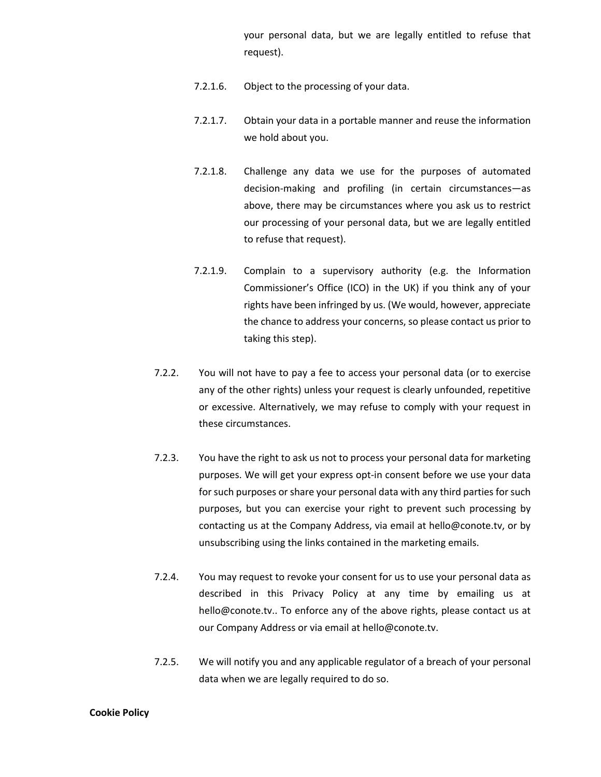your personal data, but we are legally entitled to refuse that request).

- 7.2.1.6. Object to the processing of your data.
- 7.2.1.7. Obtain your data in a portable manner and reuse the information we hold about you.
- 7.2.1.8. Challenge any data we use for the purposes of automated decision-making and profiling (in certain circumstances—as above, there may be circumstances where you ask us to restrict our processing of your personal data, but we are legally entitled to refuse that request).
- 7.2.1.9. Complain to a supervisory authority (e.g. the Information Commissioner's Office (ICO) in the UK) if you think any of your rights have been infringed by us. (We would, however, appreciate the chance to address your concerns, so please contact us prior to taking this step).
- 7.2.2. You will not have to pay a fee to access your personal data (or to exercise any of the other rights) unless your request is clearly unfounded, repetitive or excessive. Alternatively, we may refuse to comply with your request in these circumstances.
- 7.2.3. You have the right to ask us not to process your personal data for marketing purposes. We will get your express opt-in consent before we use your data for such purposes or share your personal data with any third parties for such purposes, but you can exercise your right to prevent such processing by contacting us at the Company Address, via email at hello@conote.tv, or by unsubscribing using the links contained in the marketing emails.
- 7.2.4. You may request to revoke your consent for us to use your personal data as described in this Privacy Policy at any time by emailing us at hello@conote.tv.. To enforce any of the above rights, please contact us at our Company Address or via email at hello@conote.tv.
- 7.2.5. We will notify you and any applicable regulator of a breach of your personal data when we are legally required to do so.

#### **Cookie Policy**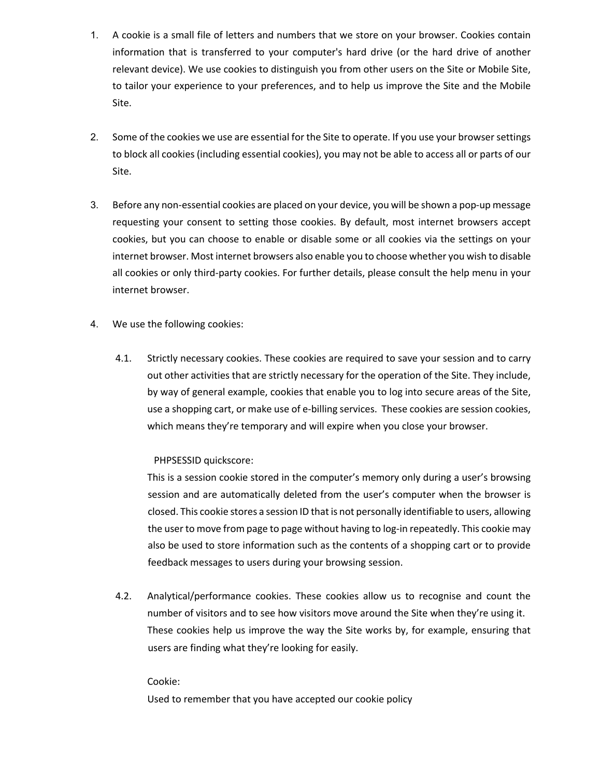- 1. A cookie is a small file of letters and numbers that we store on your browser. Cookies contain information that is transferred to your computer's hard drive (or the hard drive of another relevant device). We use cookies to distinguish you from other users on the Site or Mobile Site, to tailor your experience to your preferences, and to help us improve the Site and the Mobile Site.
- 2. Some of the cookies we use are essential for the Site to operate. If you use your browser settings to block all cookies (including essential cookies), you may not be able to access all or parts of our Site.
- 3. Before any non-essential cookies are placed on your device, you will be shown a pop-up message requesting your consent to setting those cookies. By default, most internet browsers accept cookies, but you can choose to enable or disable some or all cookies via the settings on your internet browser. Most internet browsers also enable you to choose whether you wish to disable all cookies or only third-party cookies. For further details, please consult the help menu in your internet browser.
- 4. We use the following cookies:
	- 4.1. Strictly necessary cookies. These cookies are required to save your session and to carry out other activities that are strictly necessary for the operation of the Site. They include, by way of general example, cookies that enable you to log into secure areas of the Site, use a shopping cart, or make use of e-billing services. These cookies are session cookies, which means they're temporary and will expire when you close your browser.

## PHPSESSID quickscore:

This is a session cookie stored in the computer's memory only during a user's browsing session and are automatically deleted from the user's computer when the browser is closed. This cookie stores a session ID that is not personally identifiable to users, allowing the user to move from page to page without having to log-in repeatedly. This cookie may also be used to store information such as the contents of a shopping cart or to provide feedback messages to users during your browsing session.

4.2. Analytical/performance cookies. These cookies allow us to recognise and count the number of visitors and to see how visitors move around the Site when they're using it. These cookies help us improve the way the Site works by, for example, ensuring that users are finding what they're looking for easily.

## Cookie:

Used to remember that you have accepted our cookie policy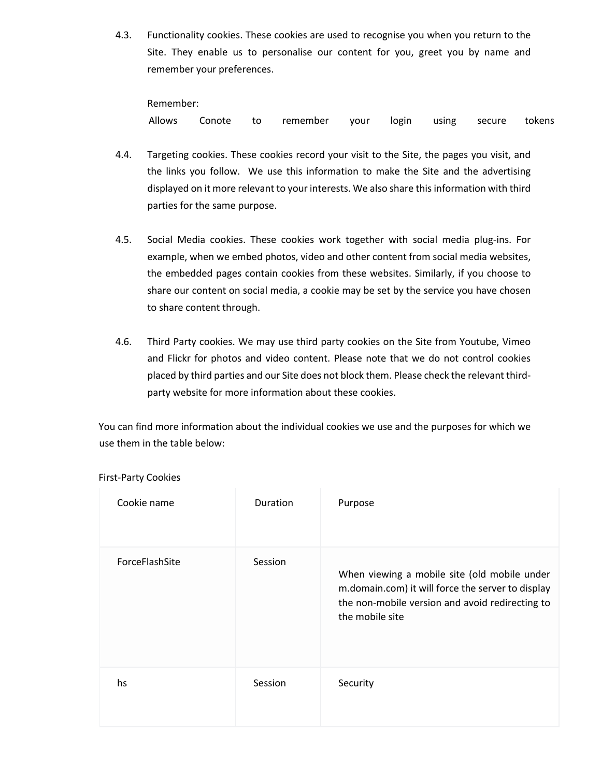4.3. Functionality cookies. These cookies are used to recognise you when you return to the Site. They enable us to personalise our content for you, greet you by name and remember your preferences.

Remember:

Allows Conote to remember your login using secure tokens

- 4.4. Targeting cookies. These cookies record your visit to the Site, the pages you visit, and the links you follow. We use this information to make the Site and the advertising displayed on it more relevant to your interests. We also share this information with third parties for the same purpose.
- 4.5. Social Media cookies. These cookies work together with social media plug-ins. For example, when we embed photos, video and other content from social media websites, the embedded pages contain cookies from these websites. Similarly, if you choose to share our content on social media, a cookie may be set by the service you have chosen to share content through.
- 4.6. Third Party cookies. We may use third party cookies on the Site from Youtube, Vimeo and Flickr for photos and video content. Please note that we do not control cookies placed by third parties and our Site does not block them. Please check the relevant thirdparty website for more information about these cookies.

You can find more information about the individual cookies we use and the purposes for which we use them in the table below:

| Cookie name    | Duration | Purpose                                                                                                                                                                 |
|----------------|----------|-------------------------------------------------------------------------------------------------------------------------------------------------------------------------|
| ForceFlashSite | Session  | When viewing a mobile site (old mobile under<br>m.domain.com) it will force the server to display<br>the non-mobile version and avoid redirecting to<br>the mobile site |
| hs             | Session  | Security                                                                                                                                                                |

First-Party Cookies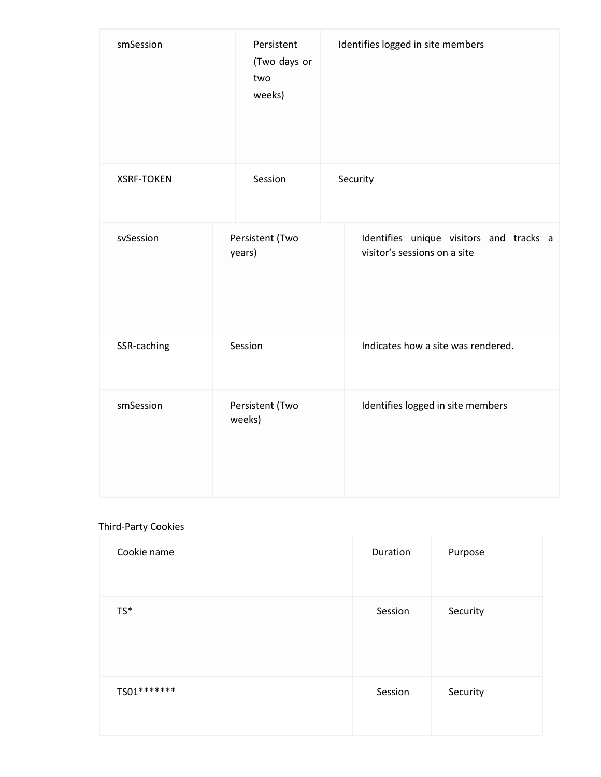| smSession         | Persistent<br>(Two days or<br>two<br>weeks) | Identifies logged in site members                                       |
|-------------------|---------------------------------------------|-------------------------------------------------------------------------|
| <b>XSRF-TOKEN</b> | Session                                     | Security                                                                |
| svSession         | Persistent (Two<br>years)                   | Identifies unique visitors and tracks a<br>visitor's sessions on a site |
| SSR-caching       | Session                                     | Indicates how a site was rendered.                                      |
| smSession         | Persistent (Two<br>weeks)                   | Identifies logged in site members                                       |

# Third-Party Cookies

| Cookie name | Duration | Purpose  |
|-------------|----------|----------|
| $TS^*$      | Session  | Security |
| TS01******* | Session  | Security |